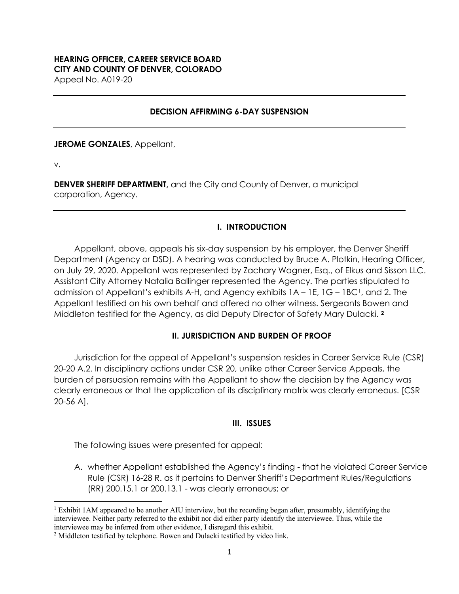### **HEARING OFFICER, CAREER SERVICE BOARD CITY AND COUNTY OF DENVER, COLORADO** Appeal No. A019-20

**DECISION AFFIRMING 6-DAY SUSPENSION**

**JEROME GONZALES**, Appellant,

v.

**DENVER SHERIFF DEPARTMENT,** and the City and County of Denver, a municipal corporation, Agency.

## **I. INTRODUCTION**

Appellant, above, appeals his six-day suspension by his employer, the Denver Sheriff Department (Agency or DSD). A hearing was conducted by Bruce A. Plotkin, Hearing Officer, on July 29, 2020. Appellant was represented by Zachary Wagner, Esq., of Elkus and Sisson LLC. Assistant City Attorney Natalia Ballinger represented the Agency. The parties stipulated to admission of Appellant's exhibits A-H, and Agency exhibits  $1A - 1E$ ,  $1G - 1BC<sup>T</sup>$ , and 2. The Appellant testified on his own behalf and offered no other witness. Sergeants Bowen and Middleton testified for the Agency, as did Deputy Director of Safety Mary Dulacki. **[2](#page-0-1)** 

#### **II. JURISDICTION AND BURDEN OF PROOF**

Jurisdiction for the appeal of Appellant's suspension resides in Career Service Rule (CSR) 20-20 A.2. In disciplinary actions under CSR 20, unlike other Career Service Appeals, the burden of persuasion remains with the Appellant to show the decision by the Agency was clearly erroneous or that the application of its disciplinary matrix was clearly erroneous. [CSR 20-56 A].

#### **III. ISSUES**

The following issues were presented for appeal:

A. whether Appellant established the Agency's finding - that he violated Career Service Rule (CSR) 16-28 R. as it pertains to Denver Sheriff's Department Rules/Regulations (RR) 200.15.1 or 200.13.1 - was clearly erroneous; or

<span id="page-0-0"></span><sup>1</sup> Exhibit 1AM appeared to be another AIU interview, but the recording began after, presumably, identifying the interviewee. Neither party referred to the exhibit nor did either party identify the interviewee. Thus, while the interviewee may be inferred from other evidence, I disregard this exhibit.

<span id="page-0-1"></span><sup>&</sup>lt;sup>2</sup> Middleton testified by telephone. Bowen and Dulacki testified by video link.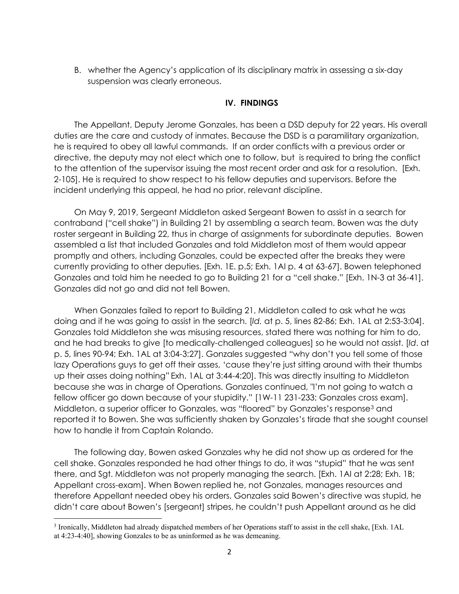B. whether the Agency's application of its disciplinary matrix in assessing a six-day suspension was clearly erroneous.

## **IV. FINDINGS**

The Appellant, Deputy Jerome Gonzales, has been a DSD deputy for 22 years. His overall duties are the care and custody of inmates. Because the DSD is a paramilitary organization, he is required to obey all lawful commands. If an order conflicts with a previous order or directive, the deputy may not elect which one to follow, but is required to bring the conflict to the attention of the supervisor issuing the most recent order and ask for a resolution. [Exh. 2-105]. He is required to show respect to his fellow deputies and supervisors. Before the incident underlying this appeal, he had no prior, relevant discipline.

On May 9, 2019, Sergeant Middleton asked Sergeant Bowen to assist in a search for contraband ("cell shake") in Building 21 by assembling a search team. Bowen was the duty roster sergeant in Building 22, thus in charge of assignments for subordinate deputies. Bowen assembled a list that included Gonzales and told Middleton most of them would appear promptly and others, including Gonzales, could be expected after the breaks they were currently providing to other deputies. [Exh. 1E. p.5; Exh. 1AI p. 4 at 63-67]. Bowen telephoned Gonzales and told him he needed to go to Building 21 for a "cell shake." [Exh. 1N-3 at 36-41]. Gonzales did not go and did not tell Bowen.

When Gonzales failed to report to Building 21, Middleton called to ask what he was doing and if he was going to assist in the search. [*Id.* at p. 5, lines 82-86; Exh. 1AL at 2:53-3:04]. Gonzales told Middleton she was misusing resources, stated there was nothing for him to do, and he had breaks to give [to medically-challenged colleagues] so he would not assist. [*Id*. at p. 5, lines 90-94; Exh. 1AL at 3:04-3:27]. Gonzales suggested "why don't you tell some of those lazy Operations guys to get off their asses, 'cause they're just sitting around with their thumbs up their asses doing nothing" Exh. 1AL at 3:44-4:20]. This was directly insulting to Middleton because she was in charge of Operations. Gonzales continued, "I'm not going to watch a fellow officer go down because of your stupidity." [1W-11 231-233; Gonzales cross exam]. Middleton, a superior officer to Gonzales, was "floored" by Gonzales's response[3](#page-1-0) and reported it to Bowen. She was sufficiently shaken by Gonzales's tirade that she sought counsel how to handle it from Captain Rolando.

The following day, Bowen asked Gonzales why he did not show up as ordered for the cell shake. Gonzales responded he had other things to do, it was "stupid" that he was sent there, and Sgt. Middleton was not properly managing the search. [Exh. 1AI at 2:28; Exh. 1B; Appellant cross-exam]. When Bowen replied he, not Gonzales, manages resources and therefore Appellant needed obey his orders, Gonzales said Bowen's directive was stupid, he didn't care about Bowen's [sergeant] stripes, he couldn't push Appellant around as he did

<span id="page-1-0"></span><sup>3</sup> Ironically, Middleton had already dispatched members of her Operations staff to assist in the cell shake, [Exh. 1AL at 4:23-4:40], showing Gonzales to be as uninformed as he was demeaning.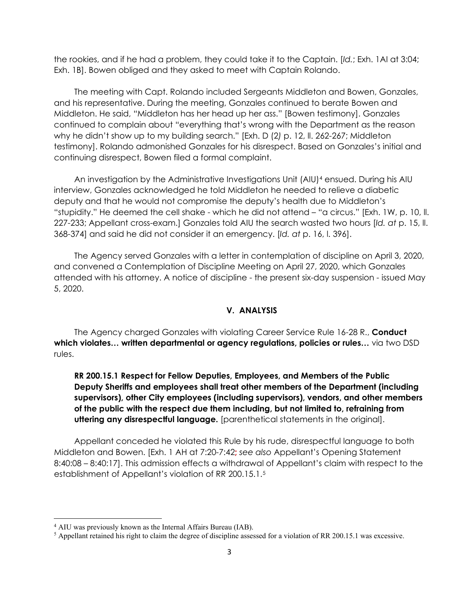the rookies, and if he had a problem, they could take it to the Captain. [*Id.*; Exh. 1AI at 3:04; Exh. 1B]. Bowen obliged and they asked to meet with Captain Rolando.

The meeting with Capt. Rolando included Sergeants Middleton and Bowen, Gonzales, and his representative. During the meeting, Gonzales continued to berate Bowen and Middleton. He said, "Middleton has her head up her ass." [Bowen testimony]. Gonzales continued to complain about "everything that's wrong with the Department as the reason why he didn't show up to my building search." [Exh. D (2*)* p. 12, ll. 262-267; Middleton testimony]. Rolando admonished Gonzales for his disrespect. Based on Gonzales's initial and continuing disrespect, Bowen filed a formal complaint.

An investigation by the Administrative Investigations Unit (AIU)<sup>[4](#page-2-0)</sup> ensued. During his AIU interview, Gonzales acknowledged he told Middleton he needed to relieve a diabetic deputy and that he would not compromise the deputy's health due to Middleton's "stupidity." He deemed the cell shake - which he did not attend – "a circus." [Exh. 1W, p. 10, ll. 227-233; Appellant cross-exam.] Gonzales told AIU the search wasted two hours [*Id. at* p. 15, ll. 368-374] and said he did not consider it an emergency. [*Id. at* p. 16, l. 396].

The Agency served Gonzales with a letter in contemplation of discipline on April 3, 2020, and convened a Contemplation of Discipline Meeting on April 27, 2020, which Gonzales attended with his attorney. A notice of discipline - the present six-day suspension - issued May 5, 2020.

#### **V. ANALYSIS**

The Agency charged Gonzales with violating Career Service Rule 16-28 R., **Conduct which violates… written departmental or agency regulations, policies or rules…** via two DSD rules.

**RR 200.15.1 Respect for Fellow Deputies, Employees, and Members of the Public Deputy Sheriffs and employees shall treat other members of the Department (including supervisors), other City employees (including supervisors), vendors, and other members of the public with the respect due them including, but not limited to, refraining from uttering any disrespectful language.** [parenthetical statements in the original].

Appellant conceded he violated this Rule by his rude, disrespectful language to both Middleton and Bowen. [Exh. 1 AH at 7:20-7:42**;** *see also* Appellant's Opening Statement 8:40:08 – 8:40:17]. This admission effects a withdrawal of Appellant's claim with respect to the establishment of Appellant's violation of RR 200.15.1.[5](#page-2-1)

<span id="page-2-0"></span><sup>&</sup>lt;sup>4</sup> AIU was previously known as the Internal Affairs Bureau (IAB).

<span id="page-2-1"></span><sup>5</sup> Appellant retained his right to claim the degree of discipline assessed for a violation of RR 200.15.1 was excessive.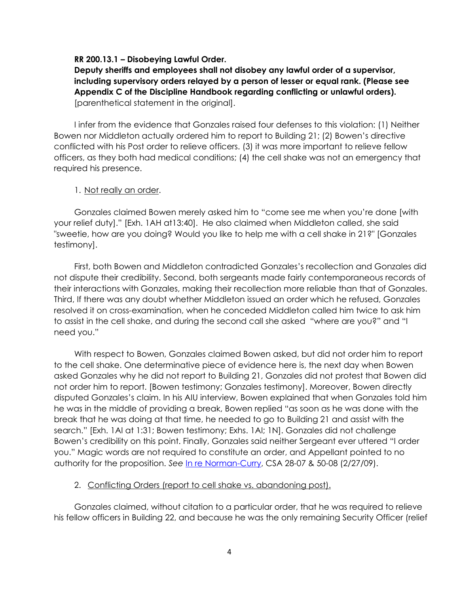#### **RR 200.13.1 – Disobeying Lawful Order.**

**Deputy sheriffs and employees shall not disobey any lawful order of a supervisor, including supervisory orders relayed by a person of lesser or equal rank. (Please see Appendix C of the Discipline Handbook regarding conflicting or unlawful orders).**  [parenthetical statement in the original].

I infer from the evidence that Gonzales raised four defenses to this violation: (1) Neither Bowen nor Middleton actually ordered him to report to Building 21; (2) Bowen's directive conflicted with his Post order to relieve officers. (3) it was more important to relieve fellow officers, as they both had medical conditions; (4) the cell shake was not an emergency that required his presence.

#### 1. Not really an order.

Gonzales claimed Bowen merely asked him to "come see me when you're done [with your relief duty]." [Exh. 1AH at13:40]. He also claimed when Middleton called, she said "sweetie, how are you doing? Would you like to help me with a cell shake in 21?" [Gonzales testimony].

First, both Bowen and Middleton contradicted Gonzales's recollection and Gonzales did not dispute their credibility. Second, both sergeants made fairly contemporaneous records of their interactions with Gonzales, making their recollection more reliable than that of Gonzales. Third, If there was any doubt whether Middleton issued an order which he refused, Gonzales resolved it on cross-examination, when he conceded Middleton called him twice to ask him to assist in the cell shake, and during the second call she asked "where are you?" and "I need you."

With respect to Bowen, Gonzales claimed Bowen asked, but did not order him to report to the cell shake. One determinative piece of evidence here is, the next day when Bowen asked Gonzales why he did not report to Building 21, Gonzales did not protest that Bowen did not order him to report. [Bowen testimony; Gonzales testimony]. Moreover, Bowen directly disputed Gonzales's claim. In his AIU interview, Bowen explained that when Gonzales told him he was in the middle of providing a break, Bowen replied "as soon as he was done with the break that he was doing at that time, he needed to go to Building 21 and assist with the search." [Exh. 1AI at 1:31; Bowen testimony; Exhs. 1AI; 1N]. Gonzales did not challenge Bowen's credibility on this point. Finally, Gonzales said neither Sergeant ever uttered "I order you." Magic words are not required to constitute an order, and Appellant pointed to no authority for the proposition. *See* [In re Norman-Curry,](https://www.denvergov.org/content/dam/denvergov/Portals/hearings_office/documents/Hearings/Norman-Curry_S_28-07_50-08_Decision..pdf) CSA 28-07 & 50-08 (2/27/09).

## 2. Conflicting Orders (report to cell shake vs. abandoning post).

Gonzales claimed, without citation to a particular order, that he was required to relieve his fellow officers in Building 22, and because he was the only remaining Security Officer (relief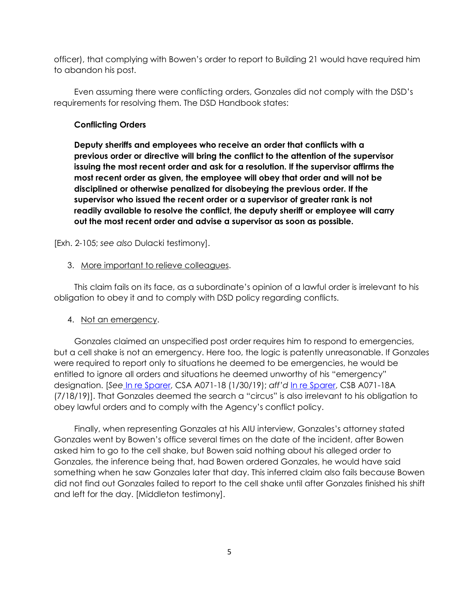officer), that complying with Bowen's order to report to Building 21 would have required him to abandon his post.

Even assuming there were conflicting orders, Gonzales did not comply with the DSD's requirements for resolving them. The DSD Handbook states:

# **Conflicting Orders**

**Deputy sheriffs and employees who receive an order that conflicts with a previous order or directive will bring the conflict to the attention of the supervisor issuing the most recent order and ask for a resolution. If the supervisor affirms the most recent order as given, the employee will obey that order and will not be disciplined or otherwise penalized for disobeying the previous order. If the supervisor who issued the recent order or a supervisor of greater rank is not readily available to resolve the conflict, the deputy sheriff or employee will carry out the most recent order and advise a supervisor as soon as possible.**

[Exh. 2-105; *see also* Dulacki testimony].

# 3. More important to relieve colleagues.

This claim fails on its face, as a subordinate's opinion of a lawful order is irrelevant to his obligation to obey it and to comply with DSD policy regarding conflicts.

## 4. Not an emergency.

Gonzales claimed an unspecified post order requires him to respond to emergencies, but a cell shake is not an emergency. Here too, the logic is patently unreasonable. If Gonzales were required to report only to situations he deemed to be emergencies, he would be entitled to ignore all orders and situations he deemed unworthy of his "emergency" designation. [*See* [In re Sparer,](https://www.denvergov.org/content/dam/denvergov/Portals/hearings_office/documents/Hearings/Sparer_Andria_CSA_71-18_Decision_1-30-19.pdf) CSA A071-18 (1/30/19); *aff'd* [In re Sparer,](https://www.denvergov.org/content/dam/denvergov/Portals/hearings_office/documents/Hearings/Sparer_Andria_CSB71-18A_Decision_7-20-19.pdf) CSB A071-18A (7/18/19)]. That Gonzales deemed the search a "circus" is also irrelevant to his obligation to obey lawful orders and to comply with the Agency's conflict policy.

Finally, when representing Gonzales at his AIU interview, Gonzales's attorney stated Gonzales went by Bowen's office several times on the date of the incident, after Bowen asked him to go to the cell shake, but Bowen said nothing about his alleged order to Gonzales, the inference being that, had Bowen ordered Gonzales, he would have said something when he saw Gonzales later that day. This inferred claim also fails because Bowen did not find out Gonzales failed to report to the cell shake until after Gonzales finished his shift and left for the day. [Middleton testimony].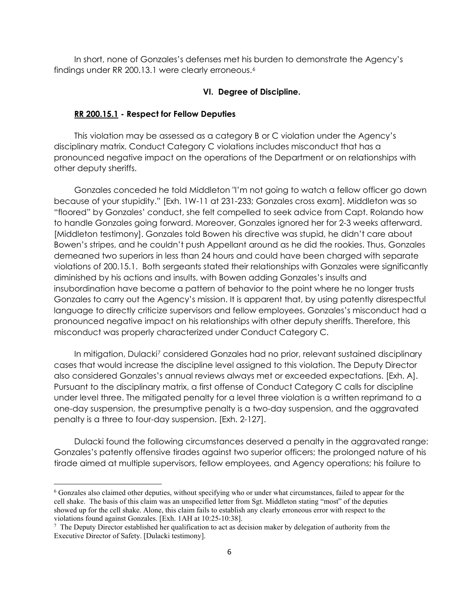In short, none of Gonzales's defenses met his burden to demonstrate the Agency's findings under RR 200.13.1 were clearly erroneous.<sup>[6](#page-5-0)</sup>

## **VI. Degree of Discipline.**

## **RR 200.15.1 - Respect for Fellow Deputies**

This violation may be assessed as a category B or C violation under the Agency's disciplinary matrix. Conduct Category C violations includes misconduct that has a pronounced negative impact on the operations of the Department or on relationships with other deputy sheriffs.

Gonzales conceded he told Middleton "I'm not going to watch a fellow officer go down because of your stupidity." [Exh. 1W-11 at 231-233; Gonzales cross exam]. Middleton was so "floored" by Gonzales' conduct, she felt compelled to seek advice from Capt. Rolando how to handle Gonzales going forward. Moreover, Gonzales ignored her for 2-3 weeks afterward. [Middleton testimony]. Gonzales told Bowen his directive was stupid, he didn't care about Bowen's stripes, and he couldn't push Appellant around as he did the rookies. Thus, Gonzales demeaned two superiors in less than 24 hours and could have been charged with separate violations of 200.15.1. Both sergeants stated their relationships with Gonzales were significantly diminished by his actions and insults, with Bowen adding Gonzales's insults and insubordination have become a pattern of behavior to the point where he no longer trusts Gonzales to carry out the Agency's mission. It is apparent that, by using patently disrespectful language to directly criticize supervisors and fellow employees, Gonzales's misconduct had a pronounced negative impact on his relationships with other deputy sheriffs. Therefore, this misconduct was properly characterized under Conduct Category C.

In mitigation, Dulacki<sup>7</sup> considered Gonzales had no prior, relevant sustained disciplinary cases that would increase the discipline level assigned to this violation. The Deputy Director also considered Gonzales's annual reviews always met or exceeded expectations. [Exh. A]. Pursuant to the disciplinary matrix, a first offense of Conduct Category C calls for discipline under level three. The mitigated penalty for a level three violation is a written reprimand to a one-day suspension, the presumptive penalty is a two-day suspension, and the aggravated penalty is a three to four-day suspension. [Exh. 2-127].

Dulacki found the following circumstances deserved a penalty in the aggravated range: Gonzales's patently offensive tirades against two superior officers; the prolonged nature of his tirade aimed at multiple supervisors, fellow employees, and Agency operations; his failure to

<span id="page-5-0"></span><sup>6</sup> Gonzales also claimed other deputies, without specifying who or under what circumstances, failed to appear for the cell shake. The basis of this claim was an unspecified letter from Sgt. Middleton stating "most" of the deputies showed up for the cell shake. Alone, this claim fails to establish any clearly erroneous error with respect to the violations found against Gonzales. [Exh. 1AH at 10:25-10:38]. 7

<span id="page-5-1"></span> $\frac{7}{1}$  The Deputy Director established her qualification to act as decision maker by delegation of authority from the Executive Director of Safety. [Dulacki testimony].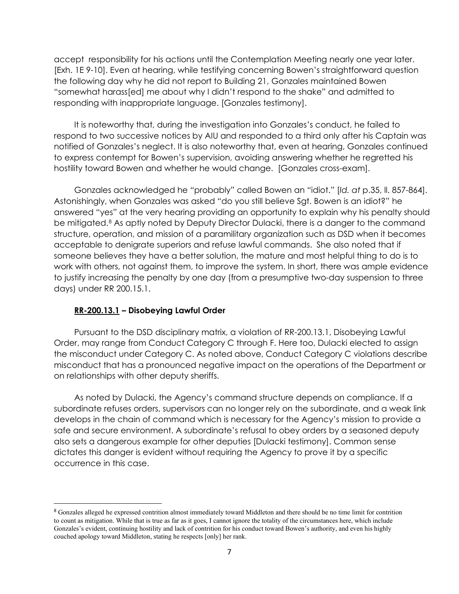accept responsibility for his actions until the Contemplation Meeting nearly one year later. [Exh. 1E 9-10]. Even at hearing, while testifying concerning Bowen's straightforward question the following day why he did not report to Building 21, Gonzales maintained Bowen "somewhat harass[ed] me about why I didn't respond to the shake" and admitted to responding with inappropriate language. [Gonzales testimony].

It is noteworthy that, during the investigation into Gonzales's conduct, he failed to respond to two successive notices by AIU and responded to a third only after his Captain was notified of Gonzales's neglect. It is also noteworthy that, even at hearing, Gonzales continued to express contempt for Bowen's supervision, avoiding answering whether he regretted his hostility toward Bowen and whether he would change. [Gonzales cross-exam].

Gonzales acknowledged he "probably" called Bowen an "idiot." [*Id. at* p.35, ll. 857-864]. Astonishingly, when Gonzales was asked "do you still believe Sgt. Bowen is an idiot?" he answered "yes" at the very hearing providing an opportunity to explain why his penalty should be mitigated.[8](#page-6-0) As aptly noted by Deputy Director Dulacki, there is a danger to the command structure, operation, and mission of a paramilitary organization such as DSD when it becomes acceptable to denigrate superiors and refuse lawful commands. She also noted that if someone believes they have a better solution, the mature and most helpful thing to do is to work with others, not against them, to improve the system. In short, there was ample evidence to justify increasing the penalty by one day (from a presumptive two-day suspension to three days) under RR 200.15.1.

## **RR-200.13.1 – Disobeying Lawful Order**

Pursuant to the DSD disciplinary matrix, a violation of RR-200.13.1, Disobeying Lawful Order, may range from Conduct Category C through F. Here too, Dulacki elected to assign the misconduct under Category C. As noted above, Conduct Category C violations describe misconduct that has a pronounced negative impact on the operations of the Department or on relationships with other deputy sheriffs.

As noted by Dulacki, the Agency's command structure depends on compliance. If a subordinate refuses orders, supervisors can no longer rely on the subordinate, and a weak link develops in the chain of command which is necessary for the Agency's mission to provide a safe and secure environment. A subordinate's refusal to obey orders by a seasoned deputy also sets a dangerous example for other deputies [Dulacki testimony]. Common sense dictates this danger is evident without requiring the Agency to prove it by a specific occurrence in this case.

<span id="page-6-0"></span><sup>8</sup> Gonzales alleged he expressed contrition almost immediately toward Middleton and there should be no time limit for contrition to count as mitigation. While that is true as far as it goes, I cannot ignore the totality of the circumstances here, which include Gonzales's evident, continuing hostility and lack of contrition for his conduct toward Bowen's authority, and even his highly couched apology toward Middleton, stating he respects [only] her rank.